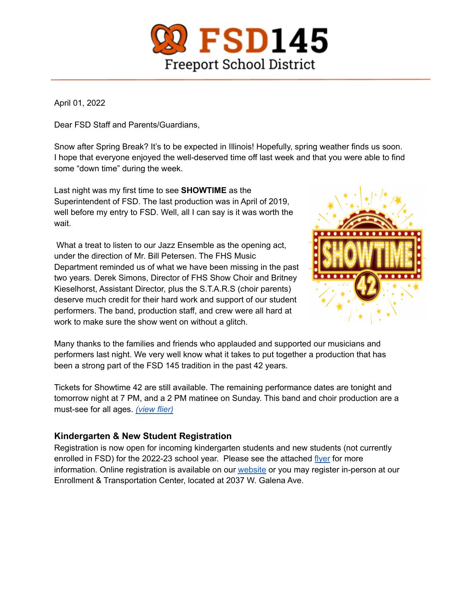

April 01, 2022

Dear FSD Staff and Parents/Guardians,

Snow after Spring Break? It's to be expected in Illinois! Hopefully, spring weather finds us soon. I hope that everyone enjoyed the well-deserved time off last week and that you were able to find some "down time" during the week.

Last night was my first time to see **SHOWTIME** as the Superintendent of FSD. The last production was in April of 2019, well before my entry to FSD. Well, all I can say is it was worth the wait.

What a treat to listen to our Jazz Ensemble as the opening act, under the direction of Mr. Bill Petersen. The FHS Music Department reminded us of what we have been missing in the past two years. Derek Simons, Director of FHS Show Choir and Britney Kieselhorst, Assistant Director, plus the S.T.A.R.S (choir parents) deserve much credit for their hard work and support of our student performers. The band, production staff, and crew were all hard at work to make sure the show went on without a glitch.



Many thanks to the families and friends who applauded and supported our musicians and performers last night. We very well know what it takes to put together a production that has been a strong part of the FSD 145 tradition in the past 42 years.

Tickets for Showtime 42 are still available. The remaining performance dates are tonight and tomorrow night at 7 PM, and a 2 PM matinee on Sunday. This band and choir production are a must-see for all ages. *[\(view](https://www.fsd145.org/cms/lib/IL49000005/Centricity/Domain/4/Showtime%2042%20poster.docx.pdf) flier)*

## **Kindergarten & New Student Registration**

Registration is now open for incoming kindergarten students and new students (not currently enrolled in FSD) for the 2022-23 school year. Please see the attached [flyer](https://www.fsd145.org/cms/lib/IL49000005/Centricity/Domain/4/kindergarten%20registration%202022.pdf) for more information. Online registration is available on our [website](https://registration.powerschool.com/family/Login?ReturnUrl=http%3A%2F%2Fregistration.powerschool.com%2Ffamily%2Fdirectaction&AutoLogOut=False) or you may register in-person at our Enrollment & Transportation Center, located at 2037 W. Galena Ave.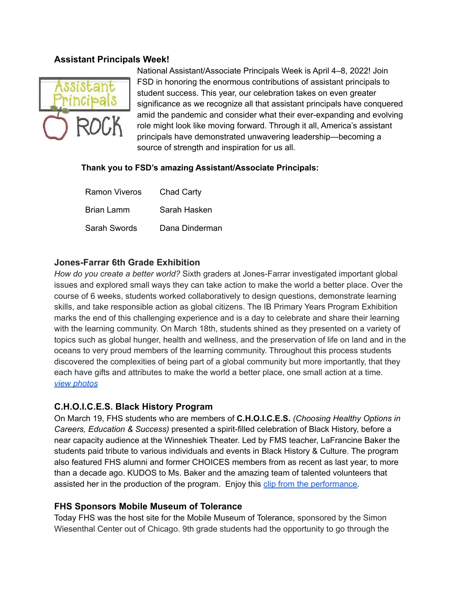#### **Assistant Principals Week!**



National Assistant/Associate Principals Week is April 4–8, 2022! Join FSD in honoring the enormous contributions of assistant principals to student success. This year, our celebration takes on even greater significance as we recognize all that assistant principals have conquered amid the pandemic and consider what their ever-expanding and evolving role might look like moving forward. Through it all, America's assistant principals have demonstrated unwavering leadership—becoming a source of strength and inspiration for us all.

#### **Thank you to FSD's amazing Assistant/Associate Principals:**

| Ramon Viveros | Chad Carty     |
|---------------|----------------|
| Brian Lamm    | Sarah Hasken   |
| Sarah Swords  | Dana Dinderman |

### **Jones-Farrar 6th Grade Exhibition**

*How do you create a better world?* Sixth graders at Jones-Farrar investigated important global issues and explored small ways they can take action to make the world a better place. Over the course of 6 weeks, students worked collaboratively to design questions, demonstrate learning skills, and take responsible action as global citizens. The IB Primary Years Program Exhibition marks the end of this challenging experience and is a day to celebrate and share their learning with the learning community. On March 18th, students shined as they presented on a variety of topics such as global hunger, health and wellness, and the preservation of life on land and in the oceans to very proud members of the learning community. Throughout this process students discovered the complexities of being part of a global community but more importantly, that they each have gifts and attributes to make the world a better place, one small action at a time. *view [photos](https://www.fsd145.org/cms/lib/IL49000005/Centricity/Domain/4/JF%206th%20Exhibition.mp4)*

### **C.H.O.I.C.E.S. Black History Program**

On March 19, FHS students who are members of **C.H.O.I.C.E.S.** *(Choosing Healthy Options in Careers, Education & Success)* presented a spirit-filled celebration of Black History, before a near capacity audience at the Winneshiek Theater. Led by FMS teacher, LaFrancine Baker the students paid tribute to various individuals and events in Black History & Culture. The program also featured FHS alumni and former CHOICES members from as recent as last year, to more than a decade ago. KUDOS to Ms. Baker and the amazing team of talented volunteers that assisted her in the production of the program. Enjoy this clip from the [performance.](https://www.fsd145.org/cms/lib/IL49000005/Centricity/Domain/4/CHOICES.mp4)

#### **FHS Sponsors Mobile Museum of Tolerance**

Today FHS was the host site for the Mobile Museum of Tolerance, sponsored by the Simon Wiesenthal Center out of Chicago. 9th grade students had the opportunity to go through the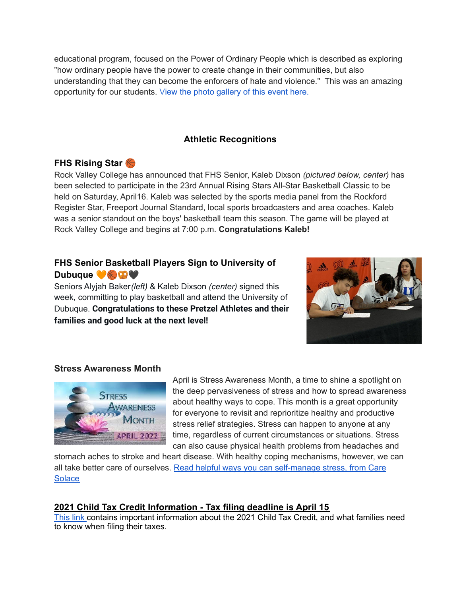educational program, focused on the Power of Ordinary People which is described as exploring "how ordinary people have the power to create change in their communities, but also understanding that they can become the enforcers of hate and violence." This was an amazing opportunity for our students. View the photo [gallery](https://www.fsd145.org/cms/lib/IL49000005/Centricity/Domain/4/Mobile%20Museum%20of%20Tolerance.mp4) of this event here.

# **Athletic Recognitions**

## **FHS Rising Star**

Rock Valley College has announced that FHS Senior, Kaleb Dixson *(pictured below, center)* has been selected to participate in the 23rd Annual Rising Stars All-Star Basketball Classic to be held on Saturday, April16. Kaleb was selected by the sports media panel from the Rockford Register Star, Freeport Journal Standard, local sports broadcasters and area coaches. Kaleb was a senior standout on the boys' basketball team this season. The game will be played at Rock Valley College and begins at 7:00 p.m. **Congratulations Kaleb!**

# **FHS Senior Basketball Players Sign to University of Dubuque Case**

Seniors Alyjah Baker*(left)* & Kaleb Dixson *(center)* signed this week, committing to play basketball and attend the University of Dubuque. **Congratulations to these Pretzel Athletes and their families and good luck at the next level!**



#### **Stress Awareness Month**



April is Stress Awareness Month, a time to shine a spotlight on the deep pervasiveness of stress and how to spread awareness about healthy ways to cope. This month is a great opportunity for everyone to revisit and reprioritize healthy and productive stress relief strategies. Stress can happen to anyone at any time, regardless of current circumstances or situations. Stress can also cause physical health problems from headaches and

stomach aches to stroke and heart disease. With healthy coping mechanisms, however, we can all take better care of ourselves. Read helpful ways you can [self-manage](https://caresolace.com/district-user/resource-center/post/april-stress-awareness-month) stress, from Care **[Solace](https://caresolace.com/district-user/resource-center/post/april-stress-awareness-month)** 

### **2021 Child Tax Credit Information - Tax filing deadline is April 15**

[This](https://www.fsd145.org/domain/1219) link contains important information about the 2021 Child Tax Credit, and what families need to know when filing their taxes.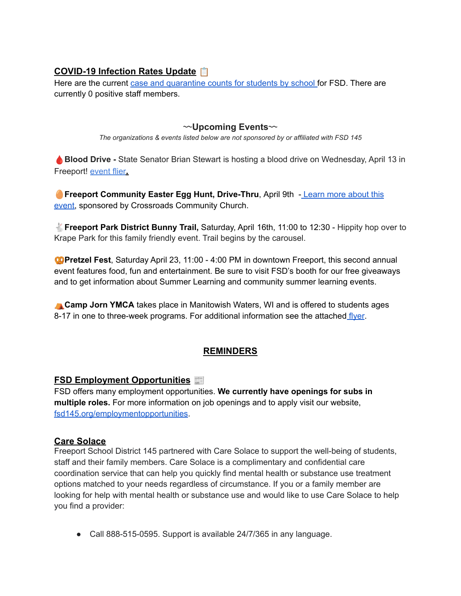# **COVID-19 Infection Rates Update**

Here are the current case and [quarantine](https://www.fsd145.org/cms/lib/IL49000005/Centricity/Domain/4/4.1.22%20FSD%20COVID%2019%20Weekly%20Tracking.pdf) counts for students by school for FSD. There are currently 0 positive staff members.

〰**Upcoming Events**〰

*The organizations & events listed below are not sponsored by or affiliated with FSD 145*

**Blood Drive -** State Senator Brian Stewart is hosting a blood drive on Wednesday, April 13 in Freeport! [event](https://www.fsd145.org/cms/lib/IL49000005/Centricity/Domain/4/Stewart%20Blood%20Drive%20April%2013%20Flyer.pdf) flier**.**

**Freeport Community Easter Egg Hunt, Drive-Thru**, April 9th - [Learn](https://www.fsd145.org/cms/lib/IL49000005/Centricity/Domain/4/Cross%20Roads%20Egg%20Hunt.pdf) more about this [event,](https://www.fsd145.org/cms/lib/IL49000005/Centricity/Domain/4/Cross%20Roads%20Egg%20Hunt.pdf) sponsored by Crossroads Community Church.

**Freeport Park District Bunny Trail,** Saturday, April 16th, 11:00 to 12:30 - Hippity hop over to Krape Park for this family friendly event. Trail begins by the carousel.

**Pretzel Fest**, Saturday April 23, 11:00 - 4:00 PM in downtown Freeport, this second annual event features food, fun and entertainment. Be sure to visit FSD's booth for our free giveaways and to get information about Summer Learning and community summer learning events.

⛺**Camp Jorn YMCA** takes place in Manitowish Waters, WI and is offered to students ages 8-17 in one to three-week programs. For additional information see the attached [flyer](https://www.fsd145.org/cms/lib/IL49000005/Centricity/Domain/4/Camp%20Jorn.pdf).

# **REMINDERS**

## **FSD Employment Opportunities**

FSD offers many employment opportunities. **We currently have openings for subs in multiple roles.** For more information on job openings and to apply visit our website, [fsd145.org/employmentopportunities.](https://www.applitrack.com/fsd145/onlineapp/default.aspx)

### **Care Solace**

Freeport School District 145 partnered with Care Solace to support the well-being of students, staff and their family members. Care Solace is a complimentary and confidential care coordination service that can help you quickly find mental health or substance use treatment options matched to your needs regardless of circumstance. If you or a family member are looking for help with mental health or substance use and would like to use Care Solace to help you find a provider:

● Call 888-515-0595. Support is available 24/7/365 in any language.